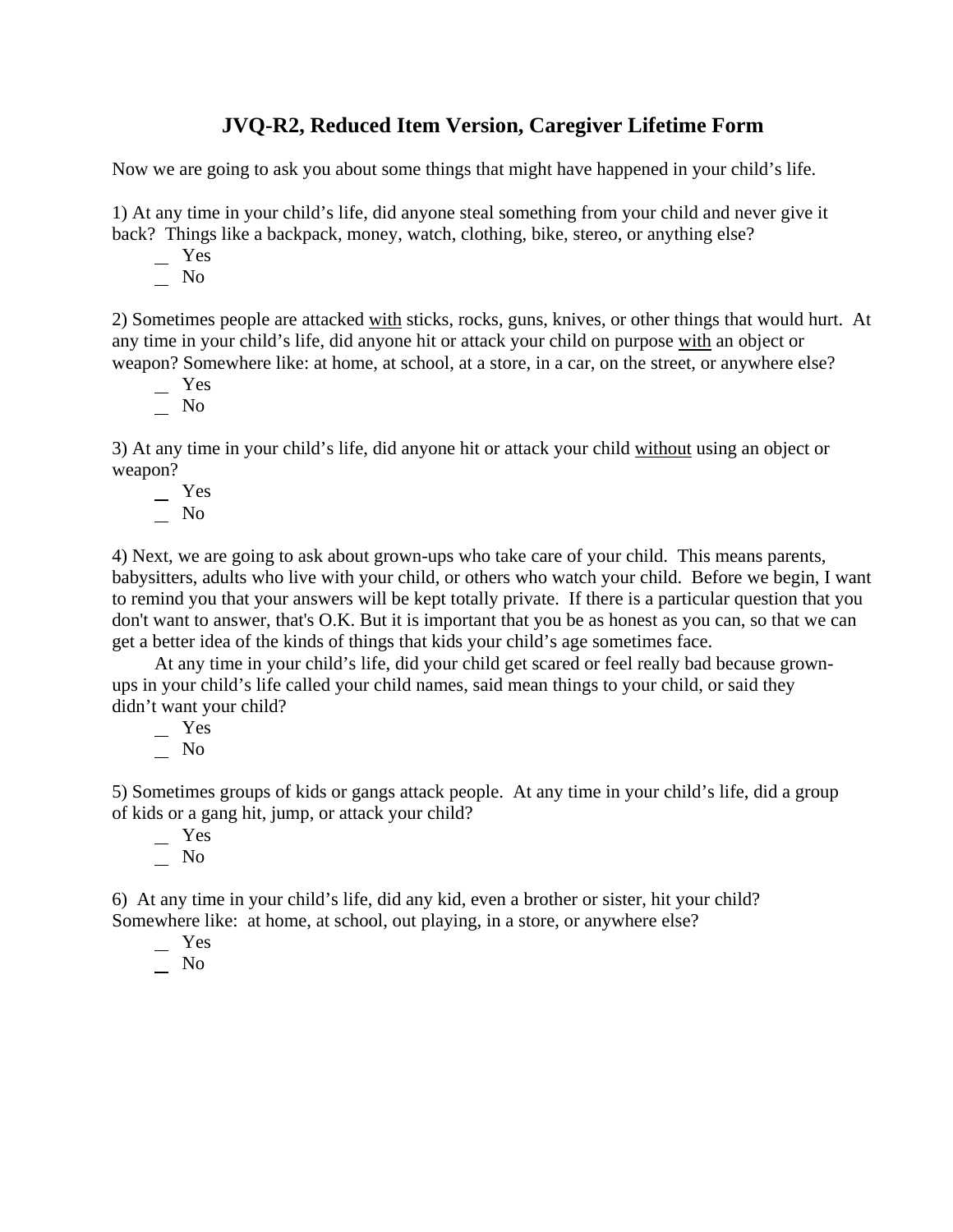## **JVQ-R2, Reduced Item Version, Caregiver Lifetime Form**

Now we are going to ask you about some things that might have happened in your child's life.

1) At any time in your child's life, did anyone steal something from your child and never give it back? Things like a backpack, money, watch, clothing, bike, stereo, or anything else?

- Yes
- No

2) Sometimes people are attacked with sticks, rocks, guns, knives, or other things that would hurt. At any time in your child's life, did anyone hit or attack your child on purpose with an object or weapon? Somewhere like: at home, at school, at a store, in a car, on the street, or anywhere else?

- Yes
- $\overline{\phantom{0}}$  No

3) At any time in your child's life, did anyone hit or attack your child without using an object or weapon?

 Yes  $\overline{\phantom{0}}$  No

4) Next, we are going to ask about grown-ups who take care of your child. This means parents, babysitters, adults who live with your child, or others who watch your child. Before we begin, I want to remind you that your answers will be kept totally private. If there is a particular question that you don't want to answer, that's O.K. But it is important that you be as honest as you can, so that we can get a better idea of the kinds of things that kids your child's age sometimes face.

At any time in your child's life, did your child get scared or feel really bad because grownups in your child's life called your child names, said mean things to your child, or said they didn't want your child?

 Yes No

5) Sometimes groups of kids or gangs attack people. At any time in your child's life, did a group of kids or a gang hit, jump, or attack your child?

 Yes  $\overline{\phantom{a}}$  No

6) At any time in your child's life, did any kid, even a brother or sister, hit your child? Somewhere like: at home, at school, out playing, in a store, or anywhere else?

Yes

 $\overline{\phantom{0}}$  No